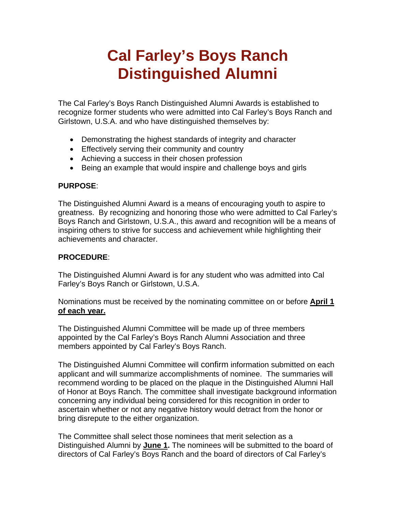## **Cal Farley's Boys Ranch Distinguished Alumni**

The Cal Farley's Boys Ranch Distinguished Alumni Awards is established to recognize former students who were admitted into Cal Farley's Boys Ranch and Girlstown, U.S.A. and who have distinguished themselves by:

- Demonstrating the highest standards of integrity and character
- Effectively serving their community and country
- Achieving a success in their chosen profession
- Being an example that would inspire and challenge boys and girls

## **PURPOSE**:

The Distinguished Alumni Award is a means of encouraging youth to aspire to greatness. By recognizing and honoring those who were admitted to Cal Farley's Boys Ranch and Girlstown, U.S.A., this award and recognition will be a means of inspiring others to strive for success and achievement while highlighting their achievements and character.

## **PROCEDURE**:

The Distinguished Alumni Award is for any student who was admitted into Cal Farley's Boys Ranch or Girlstown, U.S.A.

Nominations must be received by the nominating committee on or before **April 1 of each year.**

The Distinguished Alumni Committee will be made up of three members appointed by the Cal Farley's Boys Ranch Alumni Association and three members appointed by Cal Farley's Boys Ranch.

The Distinguished Alumni Committee will confirm information submitted on each applicant and will summarize accomplishments of nominee. The summaries will recommend wording to be placed on the plaque in the Distinguished Alumni Hall of Honor at Boys Ranch. The committee shall investigate background information concerning any individual being considered for this recognition in order to ascertain whether or not any negative history would detract from the honor or bring disrepute to the either organization.

The Committee shall select those nominees that merit selection as a Distinguished Alumni by **June 1.** The nominees will be submitted to the board of directors of Cal Farley's Boys Ranch and the board of directors of Cal Farley's